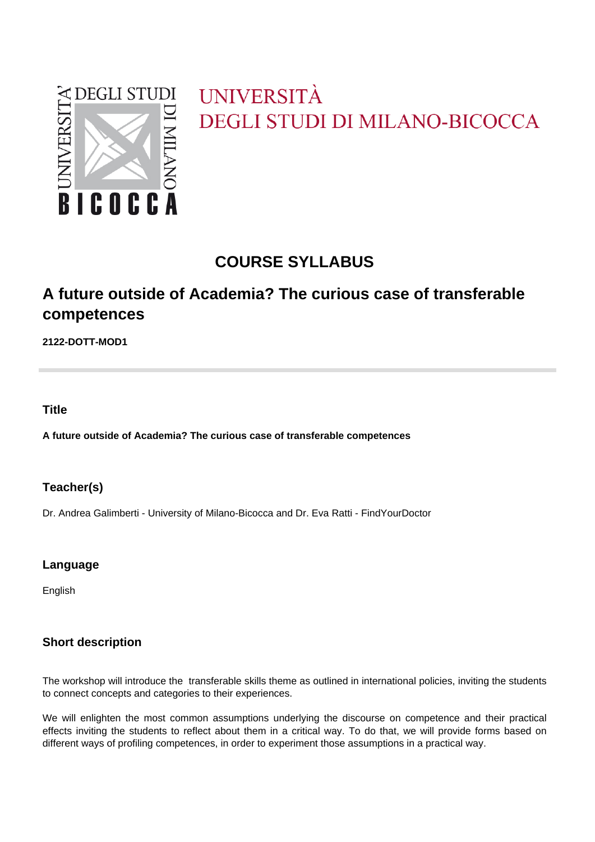

# UNIVERSITÀ **DEGLI STUDI DI MILANO-BICOCCA**

# **COURSE SYLLABUS**

# **A future outside of Academia? The curious case of transferable competences**

**2122-DOTT-MOD1**

**Title**

**A future outside of Academia? The curious case of transferable competences**

## **Teacher(s)**

Dr. Andrea Galimberti - University of Milano-Bicocca and Dr. Eva Ratti - FindYourDoctor

## **Language**

English

## **Short description**

The workshop will introduce the transferable skills theme as outlined in international policies, inviting the students to connect concepts and categories to their experiences.

We will enlighten the most common assumptions underlying the discourse on competence and their practical effects inviting the students to reflect about them in a critical way. To do that, we will provide forms based on different ways of profiling competences, in order to experiment those assumptions in a practical way.